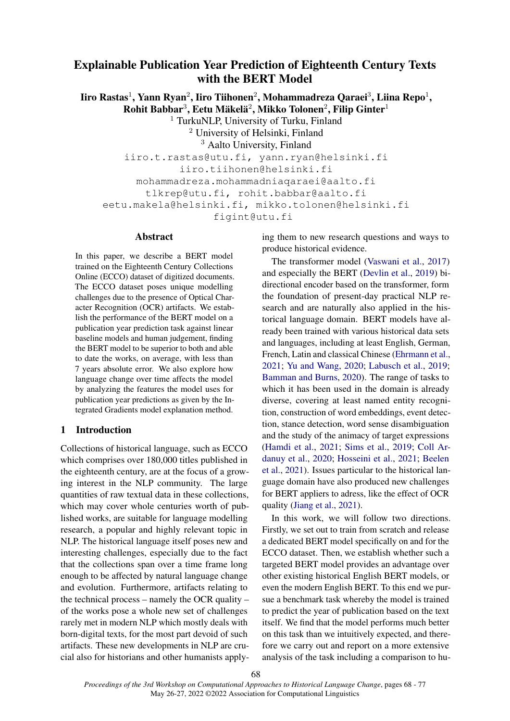# Explainable Publication Year Prediction of Eighteenth Century Texts with the BERT Model

Iiro Rastas $^1$ , Yann Ryan $^2$ , Iiro Tiihonen $^2$ , Mohammadreza Qaraei $^3$ , Liina Repo $^1$ ,  $R$ ohit Babbar $^3$ , Eetu Mäkelä $^2$ , Mikko Tolonen $^2$ , Filip Ginter $^1$ 

<sup>1</sup> TurkuNLP, University of Turku, Finland

<sup>2</sup> University of Helsinki, Finland

<sup>3</sup> Aalto University, Finland

iiro.t.rastas@utu.fi, yann.ryan@helsinki.fi iiro.tiihonen@helsinki.fi mohammadreza.mohammadniaqaraei@aalto.fi tlkrep@utu.fi, rohit.babbar@aalto.fi eetu.makela@helsinki.fi, mikko.tolonen@helsinki.fi figint@utu.fi

# Abstract

In this paper, we describe a BERT model trained on the Eighteenth Century Collections Online (ECCO) dataset of digitized documents. The ECCO dataset poses unique modelling challenges due to the presence of Optical Character Recognition (OCR) artifacts. We establish the performance of the BERT model on a publication year prediction task against linear baseline models and human judgement, finding the BERT model to be superior to both and able to date the works, on average, with less than 7 years absolute error. We also explore how language change over time affects the model by analyzing the features the model uses for publication year predictions as given by the Integrated Gradients model explanation method.

# 1 Introduction

Collections of historical language, such as ECCO which comprises over 180,000 titles published in the eighteenth century, are at the focus of a growing interest in the NLP community. The large quantities of raw textual data in these collections, which may cover whole centuries worth of published works, are suitable for language modelling research, a popular and highly relevant topic in NLP. The historical language itself poses new and interesting challenges, especially due to the fact that the collections span over a time frame long enough to be affected by natural language change and evolution. Furthermore, artifacts relating to the technical process – namely the OCR quality – of the works pose a whole new set of challenges rarely met in modern NLP which mostly deals with born-digital texts, for the most part devoid of such artifacts. These new developments in NLP are crucial also for historians and other humanists applying them to new research questions and ways to produce historical evidence.

The transformer model [\(Vaswani et al.,](#page-9-0) [2017\)](#page-9-0) and especially the BERT [\(Devlin et al.,](#page-8-0) [2019\)](#page-8-0) bidirectional encoder based on the transformer, form the foundation of present-day practical NLP research and are naturally also applied in the historical language domain. BERT models have already been trained with various historical data sets and languages, including at least English, German, French, Latin and classical Chinese [\(Ehrmann et al.,](#page-8-1) [2021;](#page-8-1) [Yu and Wang,](#page-9-1) [2020;](#page-9-1) [Labusch et al.,](#page-8-2) [2019;](#page-8-2) [Bamman and Burns,](#page-8-3) [2020\)](#page-8-3). The range of tasks to which it has been used in the domain is already diverse, covering at least named entity recognition, construction of word embeddings, event detection, stance detection, word sense disambiguation and the study of the animacy of target expressions [\(Hamdi et al.,](#page-8-4) [2021;](#page-8-4) [Sims et al.,](#page-8-5) [2019;](#page-8-5) [Coll Ar](#page-8-6)[danuy et al.,](#page-8-6) [2020;](#page-8-6) [Hosseini et al.,](#page-8-7) [2021;](#page-8-7) [Beelen](#page-8-8) [et al.,](#page-8-8) [2021\)](#page-8-8). Issues particular to the historical language domain have also produced new challenges for BERT appliers to adress, like the effect of OCR quality [\(Jiang et al.,](#page-8-9) [2021\)](#page-8-9).

In this work, we will follow two directions. Firstly, we set out to train from scratch and release a dedicated BERT model specifically on and for the ECCO dataset. Then, we establish whether such a targeted BERT model provides an advantage over other existing historical English BERT models, or even the modern English BERT. To this end we pursue a benchmark task whereby the model is trained to predict the year of publication based on the text itself. We find that the model performs much better on this task than we intuitively expected, and therefore we carry out and report on a more extensive analysis of the task including a comparison to hu-

*Proceedings of the 3rd Workshop on Computational Approaches to Historical Language Change*, pages 68 - 77 May 26-27, 2022 ©2022 Association for Computational Linguistics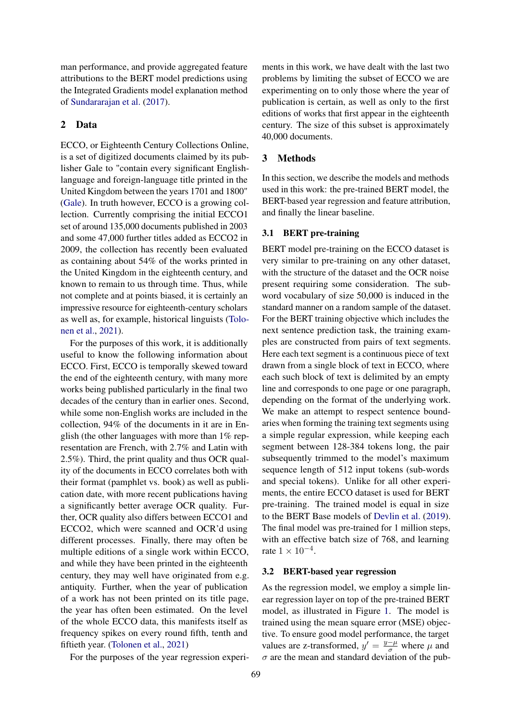man performance, and provide aggregated feature attributions to the BERT model predictions using the Integrated Gradients model explanation method of [Sundararajan et al.](#page-8-10) [\(2017\)](#page-8-10).

# 2 Data

ECCO, or Eighteenth Century Collections Online, is a set of digitized documents claimed by its publisher Gale to "contain every significant Englishlanguage and foreign-language title printed in the United Kingdom between the years 1701 and 1800" [\(Gale\)](#page-8-11). In truth however, ECCO is a growing collection. Currently comprising the initial ECCO1 set of around 135,000 documents published in 2003 and some 47,000 further titles added as ECCO2 in 2009, the collection has recently been evaluated as containing about 54% of the works printed in the United Kingdom in the eighteenth century, and known to remain to us through time. Thus, while not complete and at points biased, it is certainly an impressive resource for eighteenth-century scholars as well as, for example, historical linguists [\(Tolo](#page-9-2)[nen et al.,](#page-9-2) [2021\)](#page-9-2).

For the purposes of this work, it is additionally useful to know the following information about ECCO. First, ECCO is temporally skewed toward the end of the eighteenth century, with many more works being published particularly in the final two decades of the century than in earlier ones. Second, while some non-English works are included in the collection, 94% of the documents in it are in English (the other languages with more than  $1\%$  representation are French, with 2.7% and Latin with 2.5%). Third, the print quality and thus OCR quality of the documents in ECCO correlates both with their format (pamphlet vs. book) as well as publication date, with more recent publications having a significantly better average OCR quality. Further, OCR quality also differs between ECCO1 and ECCO2, which were scanned and OCR'd using different processes. Finally, there may often be multiple editions of a single work within ECCO, and while they have been printed in the eighteenth century, they may well have originated from e.g. antiquity. Further, when the year of publication of a work has not been printed on its title page, the year has often been estimated. On the level of the whole ECCO data, this manifests itself as frequency spikes on every round fifth, tenth and fiftieth year. [\(Tolonen et al.,](#page-9-2) [2021\)](#page-9-2)

For the purposes of the year regression experi-

ments in this work, we have dealt with the last two problems by limiting the subset of ECCO we are experimenting on to only those where the year of publication is certain, as well as only to the first editions of works that first appear in the eighteenth century. The size of this subset is approximately 40,000 documents.

#### 3 Methods

In this section, we describe the models and methods used in this work: the pre-trained BERT model, the BERT-based year regression and feature attribution, and finally the linear baseline.

### 3.1 BERT pre-training

BERT model pre-training on the ECCO dataset is very similar to pre-training on any other dataset, with the structure of the dataset and the OCR noise present requiring some consideration. The subword vocabulary of size 50,000 is induced in the standard manner on a random sample of the dataset. For the BERT training objective which includes the next sentence prediction task, the training examples are constructed from pairs of text segments. Here each text segment is a continuous piece of text drawn from a single block of text in ECCO, where each such block of text is delimited by an empty line and corresponds to one page or one paragraph, depending on the format of the underlying work. We make an attempt to respect sentence boundaries when forming the training text segments using a simple regular expression, while keeping each segment between 128-384 tokens long, the pair subsequently trimmed to the model's maximum sequence length of 512 input tokens (sub-words and special tokens). Unlike for all other experiments, the entire ECCO dataset is used for BERT pre-training. The trained model is equal in size to the BERT Base models of [Devlin et al.](#page-8-0) [\(2019\)](#page-8-0). The final model was pre-trained for 1 million steps, with an effective batch size of 768, and learning rate  $1 \times 10^{-4}$ .

#### 3.2 BERT-based year regression

As the regression model, we employ a simple linear regression layer on top of the pre-trained BERT model, as illustrated in Figure [1.](#page-3-0) The model is trained using the mean square error (MSE) objective. To ensure good model performance, the target values are z-transformed,  $y' = \frac{y - \mu}{\sigma}$  where  $\mu$  and  $\sigma$  are the mean and standard deviation of the pub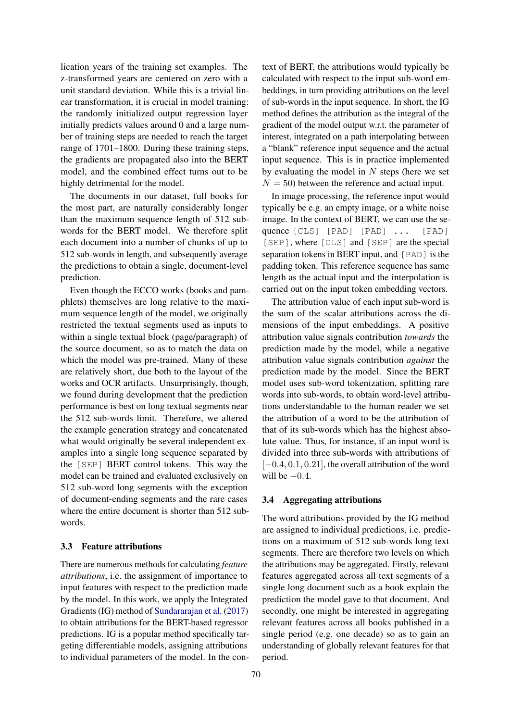lication years of the training set examples. The z-transformed years are centered on zero with a unit standard deviation. While this is a trivial linear transformation, it is crucial in model training: the randomly initialized output regression layer initially predicts values around 0 and a large number of training steps are needed to reach the target range of 1701–1800. During these training steps, the gradients are propagated also into the BERT model, and the combined effect turns out to be highly detrimental for the model.

The documents in our dataset, full books for the most part, are naturally considerably longer than the maximum sequence length of 512 subwords for the BERT model. We therefore split each document into a number of chunks of up to 512 sub-words in length, and subsequently average the predictions to obtain a single, document-level prediction.

Even though the ECCO works (books and pamphlets) themselves are long relative to the maximum sequence length of the model, we originally restricted the textual segments used as inputs to within a single textual block (page/paragraph) of the source document, so as to match the data on which the model was pre-trained. Many of these are relatively short, due both to the layout of the works and OCR artifacts. Unsurprisingly, though, we found during development that the prediction performance is best on long textual segments near the 512 sub-words limit. Therefore, we altered the example generation strategy and concatenated what would originally be several independent examples into a single long sequence separated by the [SEP] BERT control tokens. This way the model can be trained and evaluated exclusively on 512 sub-word long segments with the exception of document-ending segments and the rare cases where the entire document is shorter than 512 subwords.

#### 3.3 Feature attributions

There are numerous methods for calculating *feature attributions*, i.e. the assignment of importance to input features with respect to the prediction made by the model. In this work, we apply the Integrated Gradients (IG) method of [Sundararajan et al.](#page-8-10) [\(2017\)](#page-8-10) to obtain attributions for the BERT-based regressor predictions. IG is a popular method specifically targeting differentiable models, assigning attributions to individual parameters of the model. In the context of BERT, the attributions would typically be calculated with respect to the input sub-word embeddings, in turn providing attributions on the level of sub-words in the input sequence. In short, the IG method defines the attribution as the integral of the gradient of the model output w.r.t. the parameter of interest, integrated on a path interpolating between a "blank" reference input sequence and the actual input sequence. This is in practice implemented by evaluating the model in  $N$  steps (here we set  $N = 50$ ) between the reference and actual input.

In image processing, the reference input would typically be e.g. an empty image, or a white noise image. In the context of BERT, we can use the sequence [CLS] [PAD] [PAD] ... [PAD] [SEP], where [CLS] and [SEP] are the special separation tokens in BERT input, and [PAD] is the padding token. This reference sequence has same length as the actual input and the interpolation is carried out on the input token embedding vectors.

The attribution value of each input sub-word is the sum of the scalar attributions across the dimensions of the input embeddings. A positive attribution value signals contribution *towards* the prediction made by the model, while a negative attribution value signals contribution *against* the prediction made by the model. Since the BERT model uses sub-word tokenization, splitting rare words into sub-words, to obtain word-level attributions understandable to the human reader we set the attribution of a word to be the attribution of that of its sub-words which has the highest absolute value. Thus, for instance, if an input word is divided into three sub-words with attributions of  $[-0.4, 0.1, 0.21]$ , the overall attribution of the word will be  $-0.4$ .

### <span id="page-2-0"></span>3.4 Aggregating attributions

The word attributions provided by the IG method are assigned to individual predictions, i.e. predictions on a maximum of 512 sub-words long text segments. There are therefore two levels on which the attributions may be aggregated. Firstly, relevant features aggregated across all text segments of a single long document such as a book explain the prediction the model gave to that document. And secondly, one might be interested in aggregating relevant features across all books published in a single period (e.g. one decade) so as to gain an understanding of globally relevant features for that period.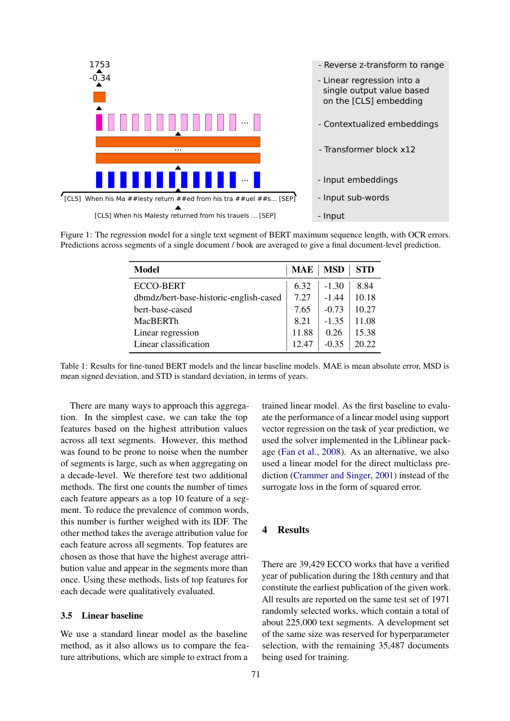<span id="page-3-0"></span>



<span id="page-3-1"></span>Figure 1: The regression model for a single text segment of BERT maximum sequence length, with OCR errors. Predictions across segments of a single document / book are averaged to give a final document-level prediction.

| Model                                  | <b>MAE</b> | <b>MSD</b> | <b>STD</b> |
|----------------------------------------|------------|------------|------------|
| ECCO-BERT                              | 6.32       | $-1.30$    | 8.84       |
| dbmdz/bert-base-historic-english-cased | 7.27       | $-1.44$    | 10.18      |
| bert-base-cased                        | 7.65       | $-0.73$    | 10.27      |
| MacBERTh                               | 8.21       | $-1.35$    | 11.08      |
| Linear regression                      | 11.88      | 0.26       | 15.38      |
| Linear classification                  | 12.47      | $-0.35$    | 20.22      |

Table 1: Results for fine-tuned BERT models and the linear baseline models. MAE is mean absolute error, MSD is mean signed deviation, and STD is standard deviation, in terms of years.

There are many ways to approach this aggregation. In the simplest case, we can take the top features based on the highest attribution values across all text segments. However, this method was found to be prone to noise when the number of segments is large, such as when aggregating on a decade-level. We therefore test two additional methods. The first one counts the number of times each feature appears as a top 10 feature of a segment. To reduce the prevalence of common words, this number is further weighed with its IDF. The other method takes the average attribution value for each feature across all segments. Top features are chosen as those that have the highest average attribution value and appear in the segments more than once. Using these methods, lists of top features for each decade were qualitatively evaluated.

# 3.5 Linear baseline

We use a standard linear model as the baseline method, as it also allows us to compare the feature attributions, which are simple to extract from a

trained linear model. As the first baseline to evaluate the performance of a linear model using support vector regression on the task of year prediction, we used the solver implemented in the Liblinear package [\(Fan et al.,](#page-8-12) [2008\)](#page-8-12). As an alternative, we also used a linear model for the direct multiclass prediction [\(Crammer and Singer,](#page-8-13) [2001\)](#page-8-13) instead of the surrogate loss in the form of squared error.

# 4 Results

There are 39,429 ECCO works that have a verified year of publication during the 18th century and that constitute the earliest publication of the given work. All results are reported on the same test set of 1971 randomly selected works, which contain a total of about 225,000 text segments. A development set of the same size was reserved for hyperparameter selection, with the remaining 35,487 documents being used for training.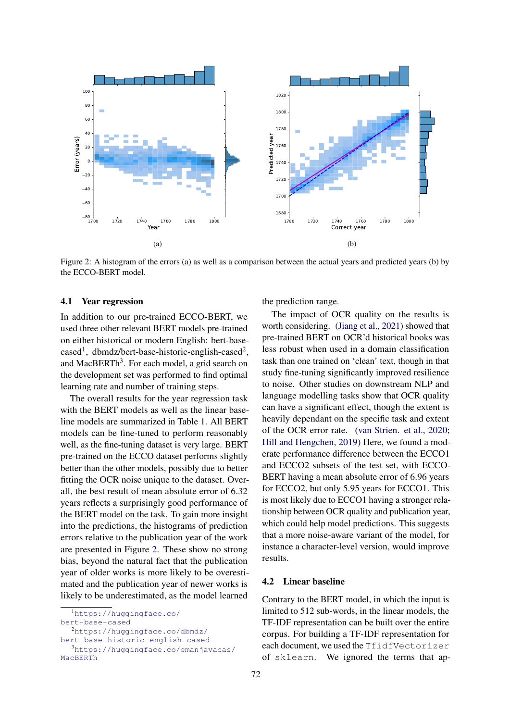<span id="page-4-3"></span>

Figure 2: A histogram of the errors (a) as well as a comparison between the actual years and predicted years (b) by the ECCO-BERT model.

#### 4.1 Year regression

In addition to our pre-trained ECCO-BERT, we used three other relevant BERT models pre-trained on either historical or modern English: bert-base-cased<sup>[1](#page-4-0)</sup>, dbmdz/bert-base-historic-english-cased<sup>[2](#page-4-1)</sup>, and MacBERTh<sup>[3](#page-4-2)</sup>. For each model, a grid search on the development set was performed to find optimal learning rate and number of training steps.

The overall results for the year regression task with the BERT models as well as the linear baseline models are summarized in Table [1.](#page-3-1) All BERT models can be fine-tuned to perform reasonably well, as the fine-tuning dataset is very large. BERT pre-trained on the ECCO dataset performs slightly better than the other models, possibly due to better fitting the OCR noise unique to the dataset. Overall, the best result of mean absolute error of 6.32 years reflects a surprisingly good performance of the BERT model on the task. To gain more insight into the predictions, the histograms of prediction errors relative to the publication year of the work are presented in Figure [2.](#page-4-3) These show no strong bias, beyond the natural fact that the publication year of older works is more likely to be overestimated and the publication year of newer works is likely to be underestimated, as the model learned

<span id="page-4-1"></span><sup>2</sup>[https://huggingface.co/dbmdz/](https://huggingface.co/dbmdz/bert-base-historic-english-cased)

[bert-base-historic-english-cased](https://huggingface.co/dbmdz/bert-base-historic-english-cased)

the prediction range.

The impact of OCR quality on the results is worth considering. [\(Jiang et al.,](#page-8-9) [2021\)](#page-8-9) showed that pre-trained BERT on OCR'd historical books was less robust when used in a domain classification task than one trained on 'clean' text, though in that study fine-tuning significantly improved resilience to noise. Other studies on downstream NLP and language modelling tasks show that OCR quality can have a significant effect, though the extent is heavily dependant on the specific task and extent of the OCR error rate. [\(van Strien. et al.,](#page-9-3) [2020;](#page-9-3) [Hill and Hengchen,](#page-8-14) [2019\)](#page-8-14) Here, we found a moderate performance difference between the ECCO1 and ECCO2 subsets of the test set, with ECCO-BERT having a mean absolute error of 6.96 years for ECCO2, but only 5.95 years for ECCO1. This is most likely due to ECCO1 having a stronger relationship between OCR quality and publication year, which could help model predictions. This suggests that a more noise-aware variant of the model, for instance a character-level version, would improve results.

#### 4.2 Linear baseline

Contrary to the BERT model, in which the input is limited to 512 sub-words, in the linear models, the TF-IDF representation can be built over the entire corpus. For building a TF-IDF representation for each document, we used the TfidfVectorizer of sklearn. We ignored the terms that ap-

<span id="page-4-0"></span><sup>1</sup>[https://huggingface.co/](https://huggingface.co/bert-base-cased) [bert-base-cased](https://huggingface.co/bert-base-cased)

<span id="page-4-2"></span><sup>3</sup>[https://huggingface.co/emanjavacas/](https://huggingface.co/emanjavacas/MacBERTh) [MacBERTh](https://huggingface.co/emanjavacas/MacBERTh)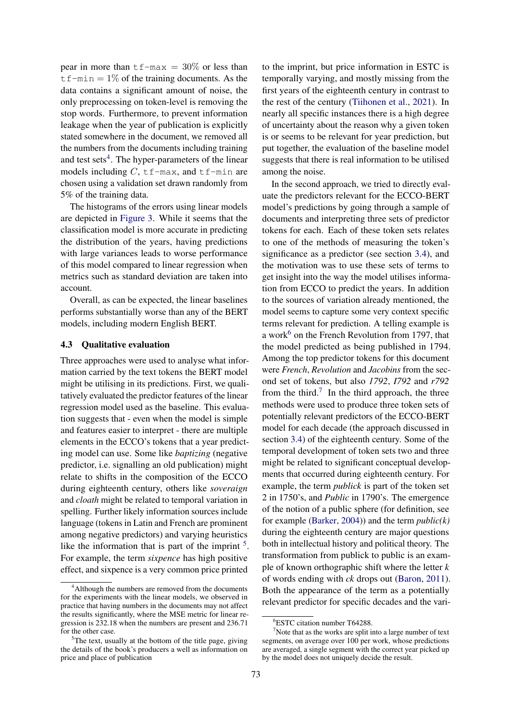pear in more than  $tf$ -max = 30% or less than  $tf-min = 1\%$  of the training documents. As the data contains a significant amount of noise, the only preprocessing on token-level is removing the stop words. Furthermore, to prevent information leakage when the year of publication is explicitly stated somewhere in the document, we removed all the numbers from the documents including training and test sets<sup>[4](#page-5-0)</sup>. The hyper-parameters of the linear models including  $C$ ,  $tf$ -max, and  $tf$ -min are chosen using a validation set drawn randomly from 5% of the training data.

The histograms of the errors using linear models are depicted in [Figure 3.](#page-6-0) While it seems that the classification model is more accurate in predicting the distribution of the years, having predictions with large variances leads to worse performance of this model compared to linear regression when metrics such as standard deviation are taken into account.

Overall, as can be expected, the linear baselines performs substantially worse than any of the BERT models, including modern English BERT.

#### 4.3 Qualitative evaluation

Three approaches were used to analyse what information carried by the text tokens the BERT model might be utilising in its predictions. First, we qualitatively evaluated the predictor features of the linear regression model used as the baseline. This evaluation suggests that - even when the model is simple and features easier to interpret - there are multiple elements in the ECCO's tokens that a year predicting model can use. Some like *baptizing* (negative predictor, i.e. signalling an old publication) might relate to shifts in the composition of the ECCO during eighteenth century, others like *soveraign* and *cloath* might be related to temporal variation in spelling. Further likely information sources include language (tokens in Latin and French are prominent among negative predictors) and varying heuristics like the information that is part of the imprint  $5$ . For example, the term *sixpence* has high positive effect, and sixpence is a very common price printed

to the imprint, but price information in ESTC is temporally varying, and mostly missing from the first years of the eighteenth century in contrast to the rest of the century [\(Tiihonen et al.,](#page-9-4) [2021\)](#page-9-4). In nearly all specific instances there is a high degree of uncertainty about the reason why a given token is or seems to be relevant for year prediction, but put together, the evaluation of the baseline model suggests that there is real information to be utilised among the noise.

In the second approach, we tried to directly evaluate the predictors relevant for the ECCO-BERT model's predictions by going through a sample of documents and interpreting three sets of predictor tokens for each. Each of these token sets relates to one of the methods of measuring the token's significance as a predictor (see section [3.4\)](#page-2-0), and the motivation was to use these sets of terms to get insight into the way the model utilises information from ECCO to predict the years. In addition to the sources of variation already mentioned, the model seems to capture some very context specific terms relevant for prediction. A telling example is a work $6$  on the French Revolution from 1797, that the model predicted as being published in 1794. Among the top predictor tokens for this document were *French*, *Revolution* and *Jacobins* from the second set of tokens, but also *1792*, *I792* and *r792* from the third.<sup>[7](#page-5-3)</sup> In the third approach, the three methods were used to produce three token sets of potentially relevant predictors of the ECCO-BERT model for each decade (the approach discussed in section [3.4\)](#page-2-0) of the eighteenth century. Some of the temporal development of token sets two and three might be related to significant conceptual developments that occurred during eighteenth century. For example, the term *publick* is part of the token set 2 in 1750's, and *Public* in 1790's. The emergence of the notion of a public sphere (for definition, see for example [\(Barker,](#page-8-15) [2004\)](#page-8-15)) and the term *public(k)* during the eighteenth century are major questions both in intellectual history and political theory. The transformation from publick to public is an example of known orthographic shift where the letter *k* of words ending with *ck* drops out [\(Baron,](#page-8-16) [2011\)](#page-8-16). Both the appearance of the term as a potentially relevant predictor for specific decades and the vari-

<span id="page-5-0"></span><sup>&</sup>lt;sup>4</sup>Although the numbers are removed from the documents for the experiments with the linear models, we observed in practice that having numbers in the documents may not affect the results significantly, where the MSE metric for linear regression is 232.18 when the numbers are present and 236.71 for the other case.

<span id="page-5-1"></span> ${}^{5}$ The text, usually at the bottom of the title page, giving the details of the book's producers a well as information on price and place of publication

<span id="page-5-3"></span><span id="page-5-2"></span><sup>6</sup>ESTC citation number T64288.

 $<sup>7</sup>$ Note that as the works are split into a large number of text</sup> segments, on average over 100 per work, whose predictions are averaged, a single segment with the correct year picked up by the model does not uniquely decide the result.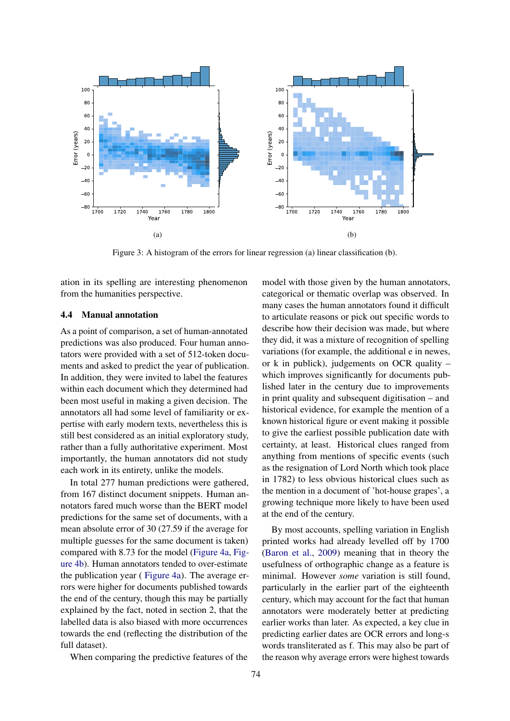<span id="page-6-0"></span>

Figure 3: A histogram of the errors for linear regression (a) linear classification (b).

ation in its spelling are interesting phenomenon from the humanities perspective.

### 4.4 Manual annotation

As a point of comparison, a set of human-annotated predictions was also produced. Four human annotators were provided with a set of 512-token documents and asked to predict the year of publication. In addition, they were invited to label the features within each document which they determined had been most useful in making a given decision. The annotators all had some level of familiarity or expertise with early modern texts, nevertheless this is still best considered as an initial exploratory study, rather than a fully authoritative experiment. Most importantly, the human annotators did not study each work in its entirety, unlike the models.

In total 277 human predictions were gathered, from 167 distinct document snippets. Human annotators fared much worse than the BERT model predictions for the same set of documents, with a mean absolute error of 30 (27.59 if the average for multiple guesses for the same document is taken) compared with 8.73 for the model [\(Figure 4a,](#page-7-0) [Fig](#page-7-0)[ure 4b\)](#page-7-0). Human annotators tended to over-estimate the publication year ( [Figure 4a\)](#page-7-0). The average errors were higher for documents published towards the end of the century, though this may be partially explained by the fact, noted in section 2, that the labelled data is also biased with more occurrences towards the end (reflecting the distribution of the full dataset).

When comparing the predictive features of the

model with those given by the human annotators, categorical or thematic overlap was observed. In many cases the human annotators found it difficult to articulate reasons or pick out specific words to describe how their decision was made, but where they did, it was a mixture of recognition of spelling variations (for example, the additional e in newes, or k in publick), judgements on OCR quality – which improves significantly for documents published later in the century due to improvements in print quality and subsequent digitisation – and historical evidence, for example the mention of a known historical figure or event making it possible to give the earliest possible publication date with certainty, at least. Historical clues ranged from anything from mentions of specific events (such as the resignation of Lord North which took place in 1782) to less obvious historical clues such as the mention in a document of 'hot-house grapes', a growing technique more likely to have been used at the end of the century.

By most accounts, spelling variation in English printed works had already levelled off by 1700 [\(Baron et al.,](#page-8-17) [2009\)](#page-8-17) meaning that in theory the usefulness of orthographic change as a feature is minimal. However *some* variation is still found, particularly in the earlier part of the eighteenth century, which may account for the fact that human annotators were moderately better at predicting earlier works than later. As expected, a key clue in predicting earlier dates are OCR errors and long-s words transliterated as f. This may also be part of the reason why average errors were highest towards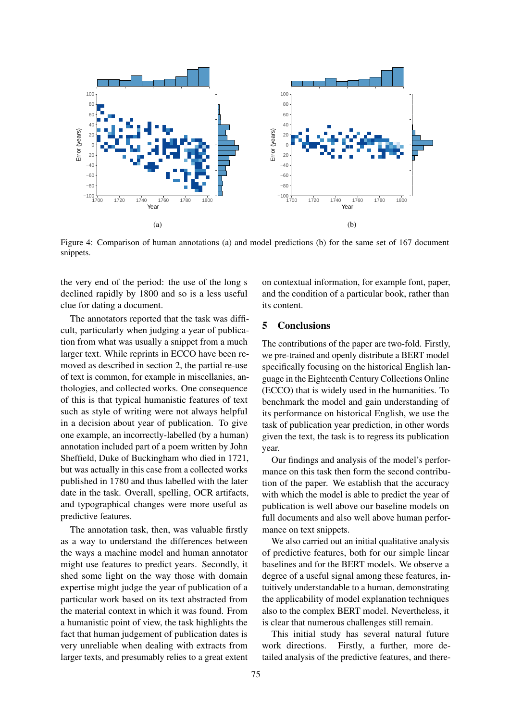<span id="page-7-0"></span>

Figure 4: Comparison of human annotations (a) and model predictions (b) for the same set of 167 document snippets.

the very end of the period: the use of the long s declined rapidly by 1800 and so is a less useful clue for dating a document.

The annotators reported that the task was difficult, particularly when judging a year of publication from what was usually a snippet from a much larger text. While reprints in ECCO have been removed as described in section 2, the partial re-use of text is common, for example in miscellanies, anthologies, and collected works. One consequence of this is that typical humanistic features of text such as style of writing were not always helpful in a decision about year of publication. To give one example, an incorrectly-labelled (by a human) annotation included part of a poem written by John Sheffield, Duke of Buckingham who died in 1721, but was actually in this case from a collected works published in 1780 and thus labelled with the later date in the task. Overall, spelling, OCR artifacts, and typographical changes were more useful as predictive features.

The annotation task, then, was valuable firstly as a way to understand the differences between the ways a machine model and human annotator might use features to predict years. Secondly, it shed some light on the way those with domain expertise might judge the year of publication of a particular work based on its text abstracted from the material context in which it was found. From a humanistic point of view, the task highlights the fact that human judgement of publication dates is very unreliable when dealing with extracts from larger texts, and presumably relies to a great extent on contextual information, for example font, paper, and the condition of a particular book, rather than its content.

# 5 Conclusions

The contributions of the paper are two-fold. Firstly, we pre-trained and openly distribute a BERT model specifically focusing on the historical English language in the Eighteenth Century Collections Online (ECCO) that is widely used in the humanities. To benchmark the model and gain understanding of its performance on historical English, we use the task of publication year prediction, in other words given the text, the task is to regress its publication year.

Our findings and analysis of the model's performance on this task then form the second contribution of the paper. We establish that the accuracy with which the model is able to predict the year of publication is well above our baseline models on full documents and also well above human performance on text snippets.

We also carried out an initial qualitative analysis of predictive features, both for our simple linear baselines and for the BERT models. We observe a degree of a useful signal among these features, intuitively understandable to a human, demonstrating the applicability of model explanation techniques also to the complex BERT model. Nevertheless, it is clear that numerous challenges still remain.

This initial study has several natural future work directions. Firstly, a further, more detailed analysis of the predictive features, and there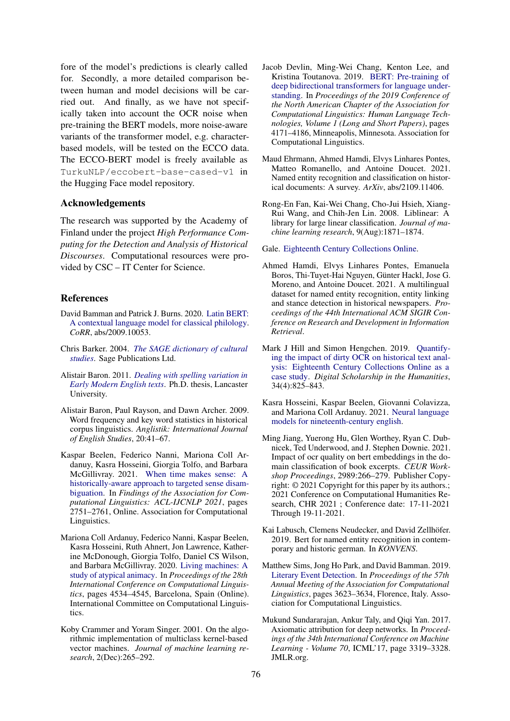fore of the model's predictions is clearly called for. Secondly, a more detailed comparison between human and model decisions will be carried out. And finally, as we have not specifically taken into account the OCR noise when pre-training the BERT models, more noise-aware variants of the transformer model, e.g. characterbased models, will be tested on the ECCO data. The ECCO-BERT model is freely available as TurkuNLP/eccobert-base-cased-v1 in the Hugging Face model repository.

## Acknowledgements

The research was supported by the Academy of Finland under the project *High Performance Computing for the Detection and Analysis of Historical Discourses*. Computational resources were provided by CSC – IT Center for Science.

### **References**

- <span id="page-8-3"></span>David Bamman and Patrick J. Burns. 2020. [Latin BERT:](http://arxiv.org/abs/2009.10053) [A contextual language model for classical philology.](http://arxiv.org/abs/2009.10053) *CoRR*, abs/2009.10053.
- <span id="page-8-15"></span>Chris Barker. 2004. *[The SAGE dictionary of cultural](https://dx.doi.org/10.4135/9781446221280.n197) [studies](https://dx.doi.org/10.4135/9781446221280.n197)*. Sage Publications Ltd.
- <span id="page-8-16"></span>Alistair Baron. 2011. *[Dealing with spelling variation in](https://core.ac.uk/download/pdf/78901667.pdf) [Early Modern English texts](https://core.ac.uk/download/pdf/78901667.pdf)*. Ph.D. thesis, Lancaster University.
- <span id="page-8-17"></span>Alistair Baron, Paul Rayson, and Dawn Archer. 2009. Word frequency and key word statistics in historical corpus linguistics. *Anglistik: International Journal of English Studies*, 20:41–67.
- <span id="page-8-8"></span>Kaspar Beelen, Federico Nanni, Mariona Coll Ardanuy, Kasra Hosseini, Giorgia Tolfo, and Barbara McGillivray. 2021. [When time makes sense: A](https://doi.org/10.18653/v1/2021.findings-acl.243) [historically-aware approach to targeted sense disam](https://doi.org/10.18653/v1/2021.findings-acl.243)[biguation.](https://doi.org/10.18653/v1/2021.findings-acl.243) In *Findings of the Association for Computational Linguistics: ACL-IJCNLP 2021*, pages 2751–2761, Online. Association for Computational Linguistics.
- <span id="page-8-6"></span>Mariona Coll Ardanuy, Federico Nanni, Kaspar Beelen, Kasra Hosseini, Ruth Ahnert, Jon Lawrence, Katherine McDonough, Giorgia Tolfo, Daniel CS Wilson, and Barbara McGillivray. 2020. [Living machines: A](https://doi.org/10.18653/v1/2020.coling-main.400) [study of atypical animacy.](https://doi.org/10.18653/v1/2020.coling-main.400) In *Proceedings of the 28th International Conference on Computational Linguistics*, pages 4534–4545, Barcelona, Spain (Online). International Committee on Computational Linguistics.
- <span id="page-8-13"></span>Koby Crammer and Yoram Singer. 2001. On the algorithmic implementation of multiclass kernel-based vector machines. *Journal of machine learning research*, 2(Dec):265–292.
- <span id="page-8-0"></span>Jacob Devlin, Ming-Wei Chang, Kenton Lee, and Kristina Toutanova. 2019. [BERT: Pre-training of](https://doi.org/10.18653/v1/N19-1423) [deep bidirectional transformers for language under](https://doi.org/10.18653/v1/N19-1423)[standing.](https://doi.org/10.18653/v1/N19-1423) In *Proceedings of the 2019 Conference of the North American Chapter of the Association for Computational Linguistics: Human Language Technologies, Volume 1 (Long and Short Papers)*, pages 4171–4186, Minneapolis, Minnesota. Association for Computational Linguistics.
- <span id="page-8-1"></span>Maud Ehrmann, Ahmed Hamdi, Elvys Linhares Pontes, Matteo Romanello, and Antoine Doucet. 2021. Named entity recognition and classification on historical documents: A survey. *ArXiv*, abs/2109.11406.
- <span id="page-8-12"></span>Rong-En Fan, Kai-Wei Chang, Cho-Jui Hsieh, Xiang-Rui Wang, and Chih-Jen Lin. 2008. Liblinear: A library for large linear classification. *Journal of machine learning research*, 9(Aug):1871–1874.

<span id="page-8-11"></span>Gale. [Eighteenth Century Collections Online.](https://www.gale.com/intl/primary-sources/eighteenth-century-collections-online)

- <span id="page-8-4"></span>Ahmed Hamdi, Elvys Linhares Pontes, Emanuela Boros, Thi-Tuyet-Hai Nguyen, Günter Hackl, Jose G. Moreno, and Antoine Doucet. 2021. A multilingual dataset for named entity recognition, entity linking and stance detection in historical newspapers. *Proceedings of the 44th International ACM SIGIR Conference on Research and Development in Information Retrieval*.
- <span id="page-8-14"></span>Mark J Hill and Simon Hengchen. 2019. [Quantify](https://doi.org/10.1093/llc/fqz024)[ing the impact of dirty OCR on historical text anal](https://doi.org/10.1093/llc/fqz024)[ysis: Eighteenth Century Collections Online as a](https://doi.org/10.1093/llc/fqz024) [case study.](https://doi.org/10.1093/llc/fqz024) *Digital Scholarship in the Humanities*, 34(4):825–843.
- <span id="page-8-7"></span>Kasra Hosseini, Kaspar Beelen, Giovanni Colavizza, and Mariona Coll Ardanuy. 2021. [Neural language](http://arxiv.org/abs/2105.11321) [models for nineteenth-century english.](http://arxiv.org/abs/2105.11321)
- <span id="page-8-9"></span>Ming Jiang, Yuerong Hu, Glen Worthey, Ryan C. Dubnicek, Ted Underwood, and J. Stephen Downie. 2021. Impact of ocr quality on bert embeddings in the domain classification of book excerpts. *CEUR Workshop Proceedings*, 2989:266–279. Publisher Copyright: © 2021 Copyright for this paper by its authors.; 2021 Conference on Computational Humanities Research, CHR 2021 ; Conference date: 17-11-2021 Through 19-11-2021.
- <span id="page-8-2"></span>Kai Labusch, Clemens Neudecker, and David Zellhöfer. 2019. Bert for named entity recognition in contemporary and historic german. In *KONVENS*.
- <span id="page-8-5"></span>Matthew Sims, Jong Ho Park, and David Bamman. 2019. [Literary Event Detection.](https://doi.org/10.18653/v1/P19-1353) In *Proceedings of the 57th Annual Meeting of the Association for Computational Linguistics*, pages 3623–3634, Florence, Italy. Association for Computational Linguistics.
- <span id="page-8-10"></span>Mukund Sundararajan, Ankur Taly, and Qiqi Yan. 2017. Axiomatic attribution for deep networks. In *Proceedings of the 34th International Conference on Machine Learning - Volume 70*, ICML'17, page 3319–3328. JMLR.org.